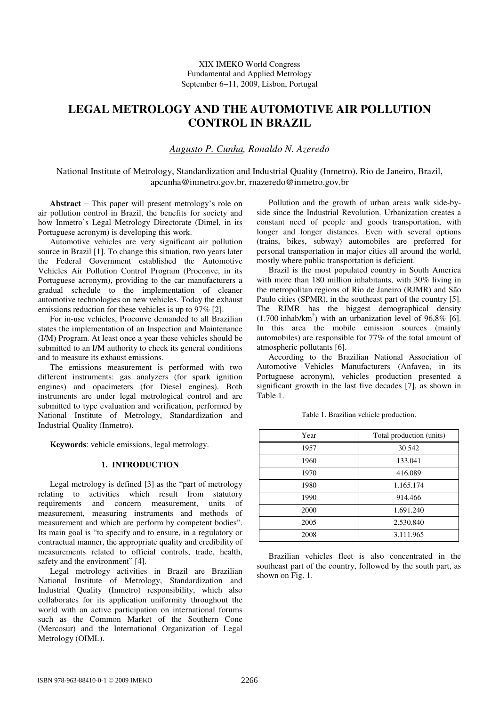# **LEGAL METROLOGY AND THE AUTOMOTIVE AIR POLLUTION CONTROL IN BRAZIL**

## *Augusto P. Cunha, Ronaldo N. Azeredo*

National Institute of Metrology, Standardization and Industrial Quality (Inmetro), Rio de Janeiro, Brazil, apcunha@inmetro.gov.br, rnazeredo@inmetro.gov.br

**Abstract** − This paper will present metrology's role on air pollution control in Brazil, the benefits for society and how Inmetro's Legal Metrology Directorate (Dimel, in its Portuguese acronym) is developing this work.

Automotive vehicles are very significant air pollution source in Brazil [1]. To change this situation, two years later the Federal Government established the Automotive Vehicles Air Pollution Control Program (Proconve, in its Portuguese acronym), providing to the car manufacturers a gradual schedule to the implementation of cleaner automotive technologies on new vehicles. Today the exhaust emissions reduction for these vehicles is up to 97% [2].

For in-use vehicles, Proconve demanded to all Brazilian states the implementation of an Inspection and Maintenance (I/M) Program. At least once a year these vehicles should be submitted to an I/M authority to check its general conditions and to measure its exhaust emissions.

The emissions measurement is performed with two different instruments: gas analyzers (for spark ignition engines) and opacimeters (for Diesel engines). Both instruments are under legal metrological control and are submitted to type evaluation and verification, performed by National Institute of Metrology, Standardization and Industrial Quality (Inmetro).

**Keywords**: vehicle emissions, legal metrology.

### **1. INTRODUCTION**

Legal metrology is defined [3] as the "part of metrology relating to activities which result from statutory requirements and concern measurement, units of measurement, measuring instruments and methods of measurement and which are perform by competent bodies". Its main goal is "to specify and to ensure, in a regulatory or contractual manner, the appropriate quality and credibility of measurements related to official controls, trade, health, safety and the environment" [4].

Legal metrology activities in Brazil are Brazilian National Institute of Metrology, Standardization and Industrial Quality (Inmetro) responsibility, which also collaborates for its application uniformity throughout the world with an active participation on international forums such as the Common Market of the Southern Cone (Mercosur) and the International Organization of Legal Metrology (OIML).

Pollution and the growth of urban areas walk side-byside since the Industrial Revolution. Urbanization creates a constant need of people and goods transportation, with longer and longer distances. Even with several options (trains, bikes, subway) automobiles are preferred for personal transportation in major cities all around the world, mostly where public transportation is deficient.

Brazil is the most populated country in South America with more than 180 million inhabitants, with 30% living in the metropolitan regions of Rio de Janeiro (RJMR) and São Paulo cities (SPMR), in the southeast part of the country [5]. The RJMR has the biggest demographical density  $(1.700 \text{ inhab/km}^2)$  with an urbanization level of 96,8% [6]. In this area the mobile emission sources (mainly automobiles) are responsible for 77% of the total amount of atmospheric pollutants [6].

According to the Brazilian National Association of Automotive Vehicles Manufacturers (Anfavea, in its Portuguese acronym), vehicles production presented a significant growth in the last five decades [7], as shown in Table 1.

| Year | Total production (units) |
|------|--------------------------|
| 1957 | 30.542                   |
| 1960 | 133.041                  |
| 1970 | 416.089                  |
| 1980 | 1.165.174                |
| 1990 | 914.466                  |
| 2000 | 1.691.240                |
| 2005 | 2.530.840                |
| 2008 | 3.111.965                |

Table 1. Brazilian vehicle production.

Brazilian vehicles fleet is also concentrated in the southeast part of the country, followed by the south part, as shown on Fig. 1.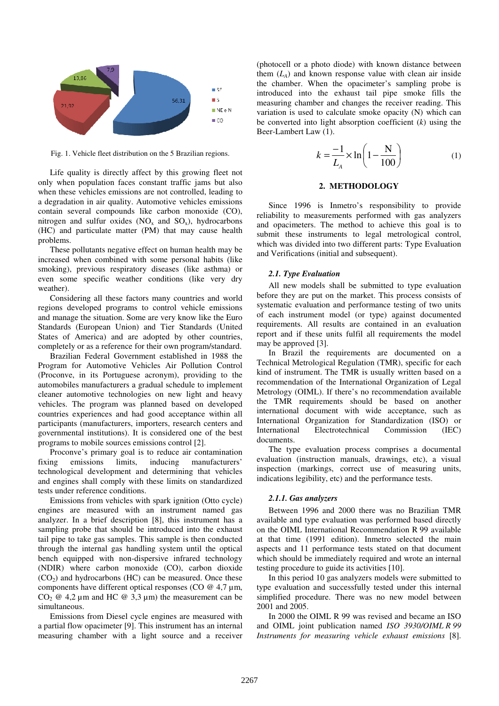

Fig. 1. Vehicle fleet distribution on the 5 Brazilian regions.

Life quality is directly affect by this growing fleet not only when population faces constant traffic jams but also when these vehicles emissions are not controlled, leading to a degradation in air quality. Automotive vehicles emissions contain several compounds like carbon monoxide (CO), nitrogen and sulfur oxides  $(NO<sub>x</sub>$  and  $SO<sub>x</sub>)$ , hydrocarbons (HC) and particulate matter (PM) that may cause health problems.

These pollutants negative effect on human health may be increased when combined with some personal habits (like smoking), previous respiratory diseases (like asthma) or even some specific weather conditions (like very dry weather).

Considering all these factors many countries and world regions developed programs to control vehicle emissions and manage the situation. Some are very know like the Euro Standards (European Union) and Tier Standards (United States of America) and are adopted by other countries, completely or as a reference for their own program/standard.

Brazilian Federal Government established in 1988 the Program for Automotive Vehicles Air Pollution Control (Proconve, in its Portuguese acronym), providing to the automobiles manufacturers a gradual schedule to implement cleaner automotive technologies on new light and heavy vehicles. The program was planned based on developed countries experiences and had good acceptance within all participants (manufacturers, importers, research centers and governmental institutions). It is considered one of the best programs to mobile sources emissions control [2].

Proconve's primary goal is to reduce air contamination fixing emissions limits, inducing manufacturers' technological development and determining that vehicles and engines shall comply with these limits on standardized tests under reference conditions.

Emissions from vehicles with spark ignition (Otto cycle) engines are measured with an instrument named gas analyzer. In a brief description [8], this instrument has a sampling probe that should be introduced into the exhaust tail pipe to take gas samples. This sample is then conducted through the internal gas handling system until the optical bench equipped with non-dispersive infrared technology (NDIR) where carbon monoxide (CO), carbon dioxide  $(CO<sub>2</sub>)$  and hydrocarbons (HC) can be measured. Once these components have different optical responses (CO @ 4,7 µm, CO<sub>2</sub>  $\omega$  4,2 µm and HC  $\omega$  3,3 µm) the measurement can be simultaneous.

Emissions from Diesel cycle engines are measured with a partial flow opacimeter [9]. This instrument has an internal measuring chamber with a light source and a receiver (photocell or a photo diode) with known distance between them  $(L_A)$  and known response value with clean air inside the chamber. When the opacimeter's sampling probe is introduced into the exhaust tail pipe smoke fills the measuring chamber and changes the receiver reading. This variation is used to calculate smoke opacity (N) which can be converted into light absorption coefficient (*k*) using the Beer-Lambert Law (1).

$$
k = \frac{-1}{L_A} \times \ln\left(1 - \frac{N}{100}\right) \tag{1}
$$

#### **2. METHODOLOGY**

Since 1996 is Inmetro's responsibility to provide reliability to measurements performed with gas analyzers and opacimeters. The method to achieve this goal is to submit these instruments to legal metrological control, which was divided into two different parts: Type Evaluation and Verifications (initial and subsequent).

#### *2.1. Type Evaluation*

All new models shall be submitted to type evaluation before they are put on the market. This process consists of systematic evaluation and performance testing of two units of each instrument model (or type) against documented requirements. All results are contained in an evaluation report and if these units fulfil all requirements the model may be approved [3].

In Brazil the requirements are documented on a Technical Metrological Regulation (TMR), specific for each kind of instrument. The TMR is usually written based on a recommendation of the International Organization of Legal Metrology (OIML). If there's no recommendation available the TMR requirements should be based on another international document with wide acceptance, such as International Organization for Standardization (ISO) or International Electrotechnical Commission (IEC) documents.

The type evaluation process comprises a documental evaluation (instruction manuals, drawings, etc), a visual inspection (markings, correct use of measuring units, indications legibility, etc) and the performance tests.

#### *2.1.1. Gas analyzers*

Between 1996 and 2000 there was no Brazilian TMR available and type evaluation was performed based directly on the OIML International Recommendation R 99 available at that time (1991 edition). Inmetro selected the main aspects and 11 performance tests stated on that document which should be immediately required and wrote an internal testing procedure to guide its activities [10].

In this period 10 gas analyzers models were submitted to type evaluation and successfully tested under this internal simplified procedure. There was no new model between 2001 and 2005.

In 2000 the OIML R 99 was revised and became an ISO and OIML joint publication named *ISO 3930/OIML R 99 Instruments for measuring vehicle exhaust emissions* [8].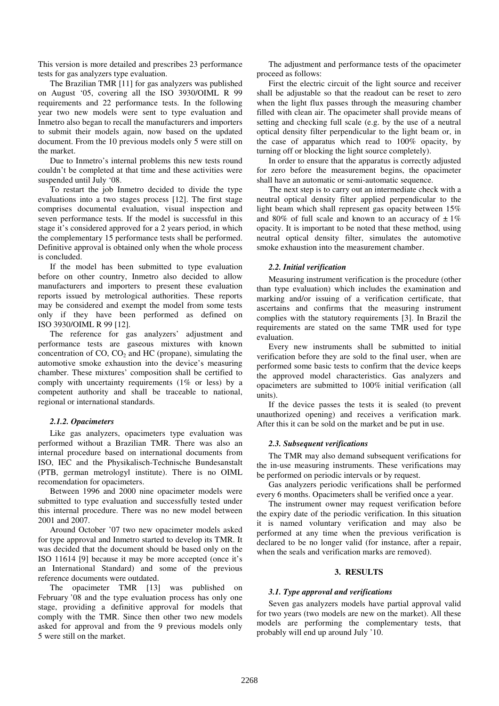This version is more detailed and prescribes 23 performance tests for gas analyzers type evaluation.

The Brazilian TMR [11] for gas analyzers was published on August '05, covering all the ISO 3930/OIML R 99 requirements and 22 performance tests. In the following year two new models were sent to type evaluation and Inmetro also began to recall the manufacturers and importers to submit their models again, now based on the updated document. From the 10 previous models only 5 were still on the market.

Due to Inmetro's internal problems this new tests round couldn't be completed at that time and these activities were suspended until July '08.

To restart the job Inmetro decided to divide the type evaluations into a two stages process [12]. The first stage comprises documental evaluation, visual inspection and seven performance tests. If the model is successful in this stage it's considered approved for a 2 years period, in which the complementary 15 performance tests shall be performed. Definitive approval is obtained only when the whole process is concluded.

If the model has been submitted to type evaluation before on other country, Inmetro also decided to allow manufacturers and importers to present these evaluation reports issued by metrological authorities. These reports may be considered and exempt the model from some tests only if they have been performed as defined on ISO 3930/OIML R 99 [12].

The reference for gas analyzers' adjustment and performance tests are gaseous mixtures with known concentration of  $CO$ ,  $CO<sub>2</sub>$  and HC (propane), simulating the automotive smoke exhaustion into the device's measuring chamber. These mixtures' composition shall be certified to comply with uncertainty requirements (1% or less) by a competent authority and shall be traceable to national, regional or international standards.

### *2.1.2. Opacimeters*

Like gas analyzers, opacimeters type evaluation was performed without a Brazilian TMR. There was also an internal procedure based on international documents from ISO, IEC and the Physikalisch-Technische Bundesanstalt (PTB, german metrologyl institute). There is no OIML recomendation for opacimeters.

Between 1996 and 2000 nine opacimeter models were submitted to type evaluation and successfully tested under this internal procedure. There was no new model between 2001 and 2007.

Around October '07 two new opacimeter models asked for type approval and Inmetro started to develop its TMR. It was decided that the document should be based only on the ISO 11614 [9] because it may be more accepted (once it's an International Standard) and some of the previous reference documents were outdated.

The opacimeter TMR [13] was published on February '08 and the type evaluation process has only one stage, providing a definitive approval for models that comply with the TMR. Since then other two new models asked for approval and from the 9 previous models only 5 were still on the market.

The adjustment and performance tests of the opacimeter proceed as follows:

First the electric circuit of the light source and receiver shall be adjustable so that the readout can be reset to zero when the light flux passes through the measuring chamber filled with clean air. The opacimeter shall provide means of setting and checking full scale (e.g. by the use of a neutral optical density filter perpendicular to the light beam or, in the case of apparatus which read to 100% opacity, by turning off or blocking the light source completely).

In order to ensure that the apparatus is correctly adjusted for zero before the measurement begins, the opacimeter shall have an automatic or semi-automatic sequence.

The next step is to carry out an intermediate check with a neutral optical density filter applied perpendicular to the light beam which shall represent gas opacity between 15% and 80% of full scale and known to an accuracy of  $\pm 1\%$ opacity. It is important to be noted that these method, using neutral optical density filter, simulates the automotive smoke exhaustion into the measurement chamber.

## *2.2. Initial verification*

Measuring instrument verification is the procedure (other than type evaluation) which includes the examination and marking and/or issuing of a verification certificate, that ascertains and confirms that the measuring instrument complies with the statutory requirements [3]. In Brazil the requirements are stated on the same TMR used for type evaluation.

Every new instruments shall be submitted to initial verification before they are sold to the final user, when are performed some basic tests to confirm that the device keeps the approved model characteristics. Gas analyzers and opacimeters are submitted to 100% initial verification (all units).

If the device passes the tests it is sealed (to prevent unauthorized opening) and receives a verification mark. After this it can be sold on the market and be put in use.

## *2.3. Subsequent verifications*

The TMR may also demand subsequent verifications for the in-use measuring instruments. These verifications may be performed on periodic intervals or by request.

Gas analyzers periodic verifications shall be performed every 6 months. Opacimeters shall be verified once a year.

The instrument owner may request verification before the expiry date of the periodic verification. In this situation it is named voluntary verification and may also be performed at any time when the previous verification is declared to be no longer valid (for instance, after a repair, when the seals and verification marks are removed).

### **3. RESULTS**

### *3.1. Type approval and verifications*

Seven gas analyzers models have partial approval valid for two years (two models are new on the market). All these models are performing the complementary tests, that probably will end up around July '10.